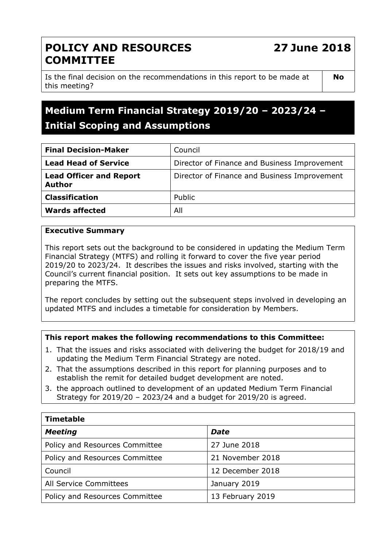# **POLICY AND RESOURCES COMMITTEE**

Is the final decision on the recommendations in this report to be made at this meeting?

**No**

**27 June 2018**

# **Medium Term Financial Strategy 2019/20 – 2023/24 – Initial Scoping and Assumptions**

| <b>Final Decision-Maker</b>              | Council                                      |
|------------------------------------------|----------------------------------------------|
| <b>Lead Head of Service</b>              | Director of Finance and Business Improvement |
| <b>Lead Officer and Report</b><br>Author | Director of Finance and Business Improvement |
| <b>Classification</b>                    | Public                                       |
| <b>Wards affected</b>                    | All                                          |

# **Executive Summary**

This report sets out the background to be considered in updating the Medium Term Financial Strategy (MTFS) and rolling it forward to cover the five year period 2019/20 to 2023/24. It describes the issues and risks involved, starting with the Council's current financial position. It sets out key assumptions to be made in preparing the MTFS.

The report concludes by setting out the subsequent steps involved in developing an updated MTFS and includes a timetable for consideration by Members.

# **This report makes the following recommendations to this Committee:**

- 1. That the issues and risks associated with delivering the budget for 2018/19 and updating the Medium Term Financial Strategy are noted.
- 2. That the assumptions described in this report for planning purposes and to establish the remit for detailed budget development are noted.
- 3. the approach outlined to development of an updated Medium Term Financial Strategy for 2019/20 – 2023/24 and a budget for 2019/20 is agreed.

| <b>Timetable</b>               |                  |  |  |
|--------------------------------|------------------|--|--|
| <b>Meeting</b>                 | Date             |  |  |
| Policy and Resources Committee | 27 June 2018     |  |  |
| Policy and Resources Committee | 21 November 2018 |  |  |
| Council                        | 12 December 2018 |  |  |
| All Service Committees         | January 2019     |  |  |
| Policy and Resources Committee | 13 February 2019 |  |  |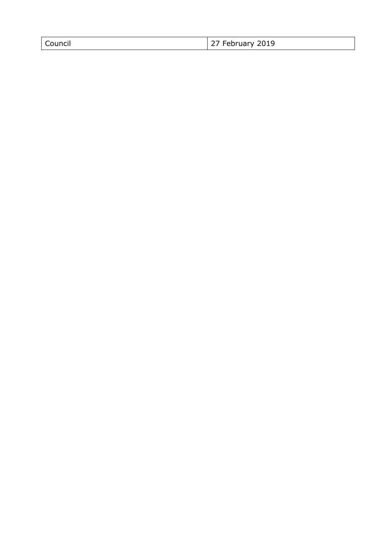| $\cdots$<br>____ | 2019<br>v<br>. .<br>---- |
|------------------|--------------------------|
|------------------|--------------------------|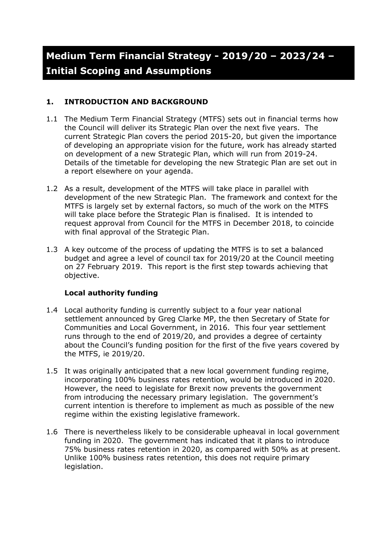# **Medium Term Financial Strategy - 2019/20 – 2023/24 – Initial Scoping and Assumptions**

# **1. INTRODUCTION AND BACKGROUND**

- 1.1 The Medium Term Financial Strategy (MTFS) sets out in financial terms how the Council will deliver its Strategic Plan over the next five years. The current Strategic Plan covers the period 2015-20, but given the importance of developing an appropriate vision for the future, work has already started on development of a new Strategic Plan, which will run from 2019-24. Details of the timetable for developing the new Strategic Plan are set out in a report elsewhere on your agenda.
- 1.2 As a result, development of the MTFS will take place in parallel with development of the new Strategic Plan. The framework and context for the MTFS is largely set by external factors, so much of the work on the MTFS will take place before the Strategic Plan is finalised. It is intended to request approval from Council for the MTFS in December 2018, to coincide with final approval of the Strategic Plan.
- 1.3 A key outcome of the process of updating the MTFS is to set a balanced budget and agree a level of council tax for 2019/20 at the Council meeting on 27 February 2019. This report is the first step towards achieving that objective.

# **Local authority funding**

- 1.4 Local authority funding is currently subject to a four year national settlement announced by Greg Clarke MP, the then Secretary of State for Communities and Local Government, in 2016. This four year settlement runs through to the end of 2019/20, and provides a degree of certainty about the Council's funding position for the first of the five years covered by the MTFS, ie 2019/20.
- 1.5 It was originally anticipated that a new local government funding regime, incorporating 100% business rates retention, would be introduced in 2020. However, the need to legislate for Brexit now prevents the government from introducing the necessary primary legislation. The government's current intention is therefore to implement as much as possible of the new regime within the existing legislative framework.
- 1.6 There is nevertheless likely to be considerable upheaval in local government funding in 2020. The government has indicated that it plans to introduce 75% business rates retention in 2020, as compared with 50% as at present. Unlike 100% business rates retention, this does not require primary legislation.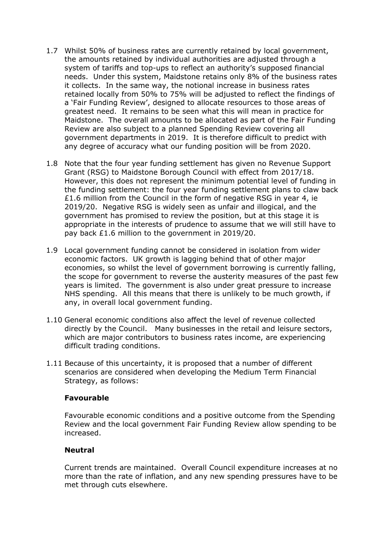- 1.7 Whilst 50% of business rates are currently retained by local government, the amounts retained by individual authorities are adjusted through a system of tariffs and top-ups to reflect an authority's supposed financial needs. Under this system, Maidstone retains only 8% of the business rates it collects. In the same way, the notional increase in business rates retained locally from 50% to 75% will be adjusted to reflect the findings of a 'Fair Funding Review', designed to allocate resources to those areas of greatest need. It remains to be seen what this will mean in practice for Maidstone. The overall amounts to be allocated as part of the Fair Funding Review are also subject to a planned Spending Review covering all government departments in 2019. It is therefore difficult to predict with any degree of accuracy what our funding position will be from 2020.
- 1.8 Note that the four year funding settlement has given no Revenue Support Grant (RSG) to Maidstone Borough Council with effect from 2017/18. However, this does not represent the minimum potential level of funding in the funding settlement: the four year funding settlement plans to claw back £1.6 million from the Council in the form of negative RSG in year 4, ie 2019/20. Negative RSG is widely seen as unfair and illogical, and the government has promised to review the position, but at this stage it is appropriate in the interests of prudence to assume that we will still have to pay back £1.6 million to the government in 2019/20.
- 1.9 Local government funding cannot be considered in isolation from wider economic factors. UK growth is lagging behind that of other major economies, so whilst the level of government borrowing is currently falling, the scope for government to reverse the austerity measures of the past few years is limited. The government is also under great pressure to increase NHS spending. All this means that there is unlikely to be much growth, if any, in overall local government funding.
- 1.10 General economic conditions also affect the level of revenue collected directly by the Council. Many businesses in the retail and leisure sectors, which are major contributors to business rates income, are experiencing difficult trading conditions.
- 1.11 Because of this uncertainty, it is proposed that a number of different scenarios are considered when developing the Medium Term Financial Strategy, as follows:

# **Favourable**

Favourable economic conditions and a positive outcome from the Spending Review and the local government Fair Funding Review allow spending to be increased.

# **Neutral**

Current trends are maintained. Overall Council expenditure increases at no more than the rate of inflation, and any new spending pressures have to be met through cuts elsewhere.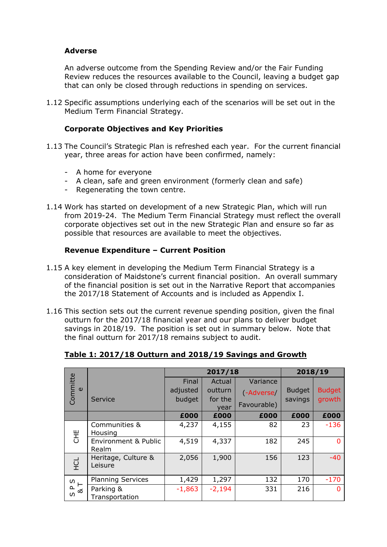### **Adverse**

An adverse outcome from the Spending Review and/or the Fair Funding Review reduces the resources available to the Council, leaving a budget gap that can only be closed through reductions in spending on services.

1.12 Specific assumptions underlying each of the scenarios will be set out in the Medium Term Financial Strategy.

# **Corporate Objectives and Key Priorities**

- 1.13 The Council's Strategic Plan is refreshed each year. For the current financial year, three areas for action have been confirmed, namely:
	- A home for everyone
	- A clean, safe and green environment (formerly clean and safe)
	- Regenerating the town centre.
- 1.14 Work has started on development of a new Strategic Plan, which will run from 2019-24. The Medium Term Financial Strategy must reflect the overall corporate objectives set out in the new Strategic Plan and ensure so far as possible that resources are available to meet the objectives.

#### **Revenue Expenditure – Current Position**

- 1.15 A key element in developing the Medium Term Financial Strategy is a consideration of Maidstone's current financial position. An overall summary of the financial position is set out in the Narrative Report that accompanies the 2017/18 Statement of Accounts and is included as Appendix I.
- 1.16 This section sets out the current revenue spending position, given the final outturn for the 2017/18 financial year and our plans to deliver budget savings in 2018/19. The position is set out in summary below. Note that the final outturn for 2017/18 remains subject to audit.

|               |                                |          | 2017/18  |             | 2018/19       |               |
|---------------|--------------------------------|----------|----------|-------------|---------------|---------------|
| Committe      |                                | Final    | Actual   | Variance    |               |               |
| $\omega$      |                                | adjusted | outturn  | (-Adverse/  | <b>Budget</b> | <b>Budget</b> |
|               | Service                        | budget   | for the  | Favourable) | savings       | growth        |
|               |                                |          | year     |             |               |               |
|               |                                | £000     | £000     | £000        | £000          | £000          |
|               | Communities &<br>Housing       | 4,237    | 4,155    | 82          | 23            | $-136$        |
| 出<br>U        | Environment & Public<br>Realm  | 4,519    | 4,337    | 182         | 245           | n             |
| HCL           | Heritage, Culture &<br>Leisure | 2,056    | 1,900    | 156         | 123           | $-40$         |
| $\sim$ $\sim$ | <b>Planning Services</b>       | 1,429    | 1,297    | 132         | 170           | $-170$        |
| ດ່∞<br>ທ່     | Parking &<br>Transportation    | $-1,863$ | $-2,194$ | 331         | 216           |               |

#### **Table 1: 2017/18 Outturn and 2018/19 Savings and Growth**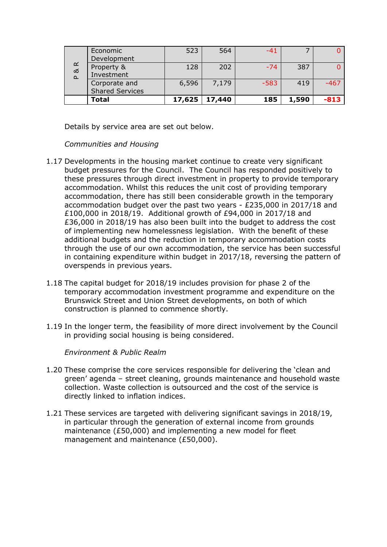|                       | Economic               | 523    | 564    | $-41$  |       |        |
|-----------------------|------------------------|--------|--------|--------|-------|--------|
|                       | Development            |        |        |        |       |        |
| $\propto$<br><u>ಹ</u> | Property &             | 128    | 202    | $-74$  | 387   |        |
| $\Omega$              | Investment             |        |        |        |       |        |
|                       | Corporate and          | 6,596  | 7,179  | $-583$ | 419   | $-467$ |
|                       | <b>Shared Services</b> |        |        |        |       |        |
|                       | <b>Total</b>           | 17,625 | 17,440 | 185    | 1,590 | $-813$ |

Details by service area are set out below.

# *Communities and Housing*

- 1.17 Developments in the housing market continue to create very significant budget pressures for the Council. The Council has responded positively to these pressures through direct investment in property to provide temporary accommodation. Whilst this reduces the unit cost of providing temporary accommodation, there has still been considerable growth in the temporary accommodation budget over the past two years - £235,000 in 2017/18 and £100,000 in 2018/19. Additional growth of £94,000 in 2017/18 and £36,000 in 2018/19 has also been built into the budget to address the cost of implementing new homelessness legislation. With the benefit of these additional budgets and the reduction in temporary accommodation costs through the use of our own accommodation, the service has been successful in containing expenditure within budget in 2017/18, reversing the pattern of overspends in previous years.
- 1.18 The capital budget for 2018/19 includes provision for phase 2 of the temporary accommodation investment programme and expenditure on the Brunswick Street and Union Street developments, on both of which construction is planned to commence shortly.
- 1.19 In the longer term, the feasibility of more direct involvement by the Council in providing social housing is being considered.

# *Environment & Public Realm*

- 1.20 These comprise the core services responsible for delivering the 'clean and green' agenda – street cleaning, grounds maintenance and household waste collection. Waste collection is outsourced and the cost of the service is directly linked to inflation indices.
- 1.21 These services are targeted with delivering significant savings in 2018/19, in particular through the generation of external income from grounds maintenance (£50,000) and implementing a new model for fleet management and maintenance (£50,000).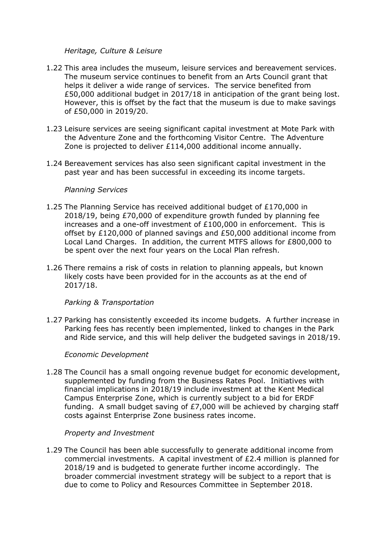#### *Heritage, Culture & Leisure*

- 1.22 This area includes the museum, leisure services and bereavement services. The museum service continues to benefit from an Arts Council grant that helps it deliver a wide range of services. The service benefited from £50,000 additional budget in 2017/18 in anticipation of the grant being lost. However, this is offset by the fact that the museum is due to make savings of £50,000 in 2019/20.
- 1.23 Leisure services are seeing significant capital investment at Mote Park with the Adventure Zone and the forthcoming Visitor Centre. The Adventure Zone is projected to deliver £114,000 additional income annually.
- 1.24 Bereavement services has also seen significant capital investment in the past year and has been successful in exceeding its income targets.

#### *Planning Services*

- 1.25 The Planning Service has received additional budget of £170,000 in 2018/19, being £70,000 of expenditure growth funded by planning fee increases and a one-off investment of  $£100.000$  in enforcement. This is offset by £120,000 of planned savings and £50,000 additional income from Local Land Charges. In addition, the current MTFS allows for £800,000 to be spent over the next four years on the Local Plan refresh.
- 1.26 There remains a risk of costs in relation to planning appeals, but known likely costs have been provided for in the accounts as at the end of 2017/18.

#### *Parking & Transportation*

1.27 Parking has consistently exceeded its income budgets. A further increase in Parking fees has recently been implemented, linked to changes in the Park and Ride service, and this will help deliver the budgeted savings in 2018/19.

#### *Economic Development*

1.28 The Council has a small ongoing revenue budget for economic development, supplemented by funding from the Business Rates Pool. Initiatives with financial implications in 2018/19 include investment at the Kent Medical Campus Enterprise Zone, which is currently subject to a bid for ERDF funding. A small budget saving of  $E7,000$  will be achieved by charging staff costs against Enterprise Zone business rates income.

#### *Property and Investment*

1.29 The Council has been able successfully to generate additional income from commercial investments. A capital investment of £2.4 million is planned for 2018/19 and is budgeted to generate further income accordingly. The broader commercial investment strategy will be subject to a report that is due to come to Policy and Resources Committee in September 2018.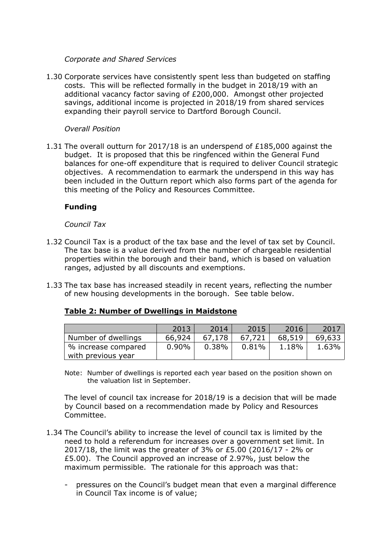### *Corporate and Shared Services*

1.30 Corporate services have consistently spent less than budgeted on staffing costs. This will be reflected formally in the budget in 2018/19 with an additional vacancy factor saving of £200,000. Amongst other projected savings, additional income is projected in 2018/19 from shared services expanding their payroll service to Dartford Borough Council.

#### *Overall Position*

1.31 The overall outturn for 2017/18 is an underspend of £185,000 against the budget. It is proposed that this be ringfenced within the General Fund balances for one-off expenditure that is required to deliver Council strategic objectives. A recommendation to earmark the underspend in this way has been included in the Outturn report which also forms part of the agenda for this meeting of the Policy and Resources Committee.

### **Funding**

### *Council Tax*

- 1.32 Council Tax is a product of the tax base and the level of tax set by Council. The tax base is a value derived from the number of chargeable residential properties within the borough and their band, which is based on valuation ranges, adjusted by all discounts and exemptions.
- 1.33 The tax base has increased steadily in recent years, reflecting the number of new housing developments in the borough. See table below.

#### **Table 2: Number of Dwellings in Maidstone**

|                     | 2013     | 2014   | 2015     | 2016     | 2017   |
|---------------------|----------|--------|----------|----------|--------|
| Number of dwellings | 66,924   | 67.178 | 67,721   | 68,519   | 69,633 |
| % increase compared | $0.90\%$ | 0.38%  | $0.81\%$ | $1.18\%$ | 1.63%  |
| with previous year  |          |        |          |          |        |

Note: Number of dwellings is reported each year based on the position shown on the valuation list in September.

The level of council tax increase for 2018/19 is a decision that will be made by Council based on a recommendation made by Policy and Resources Committee.

- 1.34 The Council's ability to increase the level of council tax is limited by the need to hold a referendum for increases over a government set limit. In 2017/18, the limit was the greater of 3% or £5.00 (2016/17 - 2% or £5.00). The Council approved an increase of 2.97%, just below the maximum permissible. The rationale for this approach was that:
	- pressures on the Council's budget mean that even a marginal difference in Council Tax income is of value;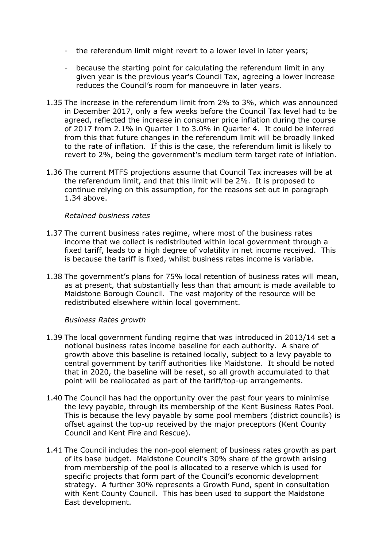- the referendum limit might revert to a lower level in later years;
- because the starting point for calculating the referendum limit in any given year is the previous year's Council Tax, agreeing a lower increase reduces the Council's room for manoeuvre in later years.
- 1.35 The increase in the referendum limit from 2% to 3%, which was announced in December 2017, only a few weeks before the Council Tax level had to be agreed, reflected the increase in consumer price inflation during the course of 2017 from 2.1% in Quarter 1 to 3.0% in Quarter 4. It could be inferred from this that future changes in the referendum limit will be broadly linked to the rate of inflation. If this is the case, the referendum limit is likely to revert to 2%, being the government's medium term target rate of inflation.
- 1.36 The current MTFS projections assume that Council Tax increases will be at the referendum limit, and that this limit will be 2%. It is proposed to continue relying on this assumption, for the reasons set out in paragraph 1.34 above.

#### *Retained business rates*

- 1.37 The current business rates regime, where most of the business rates income that we collect is redistributed within local government through a fixed tariff, leads to a high degree of volatility in net income received. This is because the tariff is fixed, whilst business rates income is variable.
- 1.38 The government's plans for 75% local retention of business rates will mean, as at present, that substantially less than that amount is made available to Maidstone Borough Council. The vast majority of the resource will be redistributed elsewhere within local government.

#### *Business Rates growth*

- 1.39 The local government funding regime that was introduced in 2013/14 set a notional business rates income baseline for each authority. A share of growth above this baseline is retained locally, subject to a levy payable to central government by tariff authorities like Maidstone. It should be noted that in 2020, the baseline will be reset, so all growth accumulated to that point will be reallocated as part of the tariff/top-up arrangements.
- 1.40 The Council has had the opportunity over the past four years to minimise the levy payable, through its membership of the Kent Business Rates Pool. This is because the levy payable by some pool members (district councils) is offset against the top-up received by the major preceptors (Kent County Council and Kent Fire and Rescue).
- 1.41 The Council includes the non-pool element of business rates growth as part of its base budget. Maidstone Council's 30% share of the growth arising from membership of the pool is allocated to a reserve which is used for specific projects that form part of the Council's economic development strategy. A further 30% represents a Growth Fund, spent in consultation with Kent County Council. This has been used to support the Maidstone East development.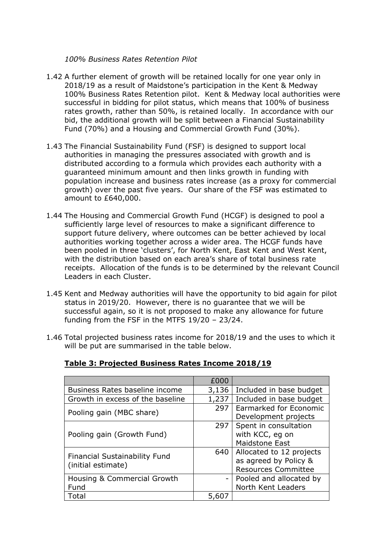# *100% Business Rates Retention Pilot*

- 1.42 A further element of growth will be retained locally for one year only in 2018/19 as a result of Maidstone's participation in the Kent & Medway 100% Business Rates Retention pilot. Kent & Medway local authorities were successful in bidding for pilot status, which means that 100% of business rates growth, rather than 50%, is retained locally. In accordance with our bid, the additional growth will be split between a Financial Sustainability Fund (70%) and a Housing and Commercial Growth Fund (30%).
- 1.43 The Financial Sustainability Fund (FSF) is designed to support local authorities in managing the pressures associated with growth and is distributed according to a formula which provides each authority with a guaranteed minimum amount and then links growth in funding with population increase and business rates increase (as a proxy for commercial growth) over the past five years. Our share of the FSF was estimated to amount to £640,000.
- 1.44 The Housing and Commercial Growth Fund (HCGF) is designed to pool a sufficiently large level of resources to make a significant difference to support future delivery, where outcomes can be better achieved by local authorities working together across a wider area. The HCGF funds have been pooled in three 'clusters', for North Kent, East Kent and West Kent, with the distribution based on each area's share of total business rate receipts. Allocation of the funds is to be determined by the relevant Council Leaders in each Cluster.
- 1.45 Kent and Medway authorities will have the opportunity to bid again for pilot status in 2019/20. However, there is no guarantee that we will be successful again, so it is not proposed to make any allowance for future funding from the FSF in the MTFS 19/20 – 23/24.
- 1.46 Total projected business rates income for 2018/19 and the uses to which it will be put are summarised in the table below.

|                                                     | £000   |                                                                                 |
|-----------------------------------------------------|--------|---------------------------------------------------------------------------------|
| Business Rates baseline income                      | 3,136  | Included in base budget                                                         |
| Growth in excess of the baseline                    | 1,237  | Included in base budget                                                         |
| Pooling gain (MBC share)                            | 297    | Earmarked for Economic<br>Development projects                                  |
| Pooling gain (Growth Fund)                          | 297    | Spent in consultation<br>with KCC, eg on<br><b>Maidstone East</b>               |
| Financial Sustainability Fund<br>(initial estimate) | 640    | Allocated to 12 projects<br>as agreed by Policy &<br><b>Resources Committee</b> |
| Housing & Commercial Growth<br>Fund                 | $\sim$ | Pooled and allocated by<br>North Kent Leaders                                   |
| Total                                               | 5,607  |                                                                                 |

# **Table 3: Projected Business Rates Income 2018/19**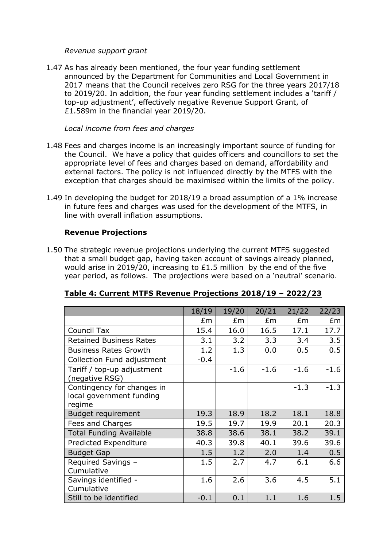#### *Revenue support grant*

1.47 As has already been mentioned, the four year funding settlement announced by the Department for Communities and Local Government in 2017 means that the Council receives zero RSG for the three years 2017/18 to 2019/20. In addition, the four year funding settlement includes a 'tariff / top-up adjustment', effectively negative Revenue Support Grant, of £1.589m in the financial year 2019/20.

*Local income from fees and charges*

- 1.48 Fees and charges income is an increasingly important source of funding for the Council. We have a policy that guides officers and councillors to set the appropriate level of fees and charges based on demand, affordability and external factors. The policy is not influenced directly by the MTFS with the exception that charges should be maximised within the limits of the policy.
- 1.49 In developing the budget for 2018/19 a broad assumption of a 1% increase in future fees and charges was used for the development of the MTFS, in line with overall inflation assumptions.

# **Revenue Projections**

1.50 The strategic revenue projections underlying the current MTFS suggested that a small budget gap, having taken account of savings already planned, would arise in 2019/20, increasing to £1.5 million by the end of the five year period, as follows. The projections were based on a 'neutral' scenario.

|                                | 18/19  | 19/20  | 20/21  | 21/22  | 22/23  |
|--------------------------------|--------|--------|--------|--------|--------|
|                                | £m     | £m     | £m     | £m     | £m     |
| Council Tax                    | 15.4   | 16.0   | 16.5   | 17.1   | 17.7   |
| <b>Retained Business Rates</b> | 3.1    | 3.2    | 3.3    | 3.4    | 3.5    |
| <b>Business Rates Growth</b>   | 1.2    | 1.3    | 0.0    | 0.5    | 0.5    |
| Collection Fund adjustment     | $-0.4$ |        |        |        |        |
| Tariff / top-up adjustment     |        | $-1.6$ | $-1.6$ | $-1.6$ | $-1.6$ |
| (negative RSG)                 |        |        |        |        |        |
| Contingency for changes in     |        |        |        | $-1.3$ | $-1.3$ |
| local government funding       |        |        |        |        |        |
| regime                         |        |        |        |        |        |
| <b>Budget requirement</b>      | 19.3   | 18.9   | 18.2   | 18.1   | 18.8   |
| Fees and Charges               | 19.5   | 19.7   | 19.9   | 20.1   | 20.3   |
| <b>Total Funding Available</b> | 38.8   | 38.6   | 38.1   | 38.2   | 39.1   |
| <b>Predicted Expenditure</b>   | 40.3   | 39.8   | 40.1   | 39.6   | 39.6   |
| <b>Budget Gap</b>              | 1.5    | 1.2    | 2.0    | 1.4    | 0.5    |
| Required Savings -             | 1.5    | 2.7    | 4.7    | 6.1    | 6.6    |
| Cumulative                     |        |        |        |        |        |
| Savings identified -           | 1.6    | 2.6    | 3.6    | 4.5    | 5.1    |
| Cumulative                     |        |        |        |        |        |
| Still to be identified         | $-0.1$ | 0.1    | 1.1    | 1.6    | 1.5    |

# **Table 4: Current MTFS Revenue Projections 2018/19 – 2022/23**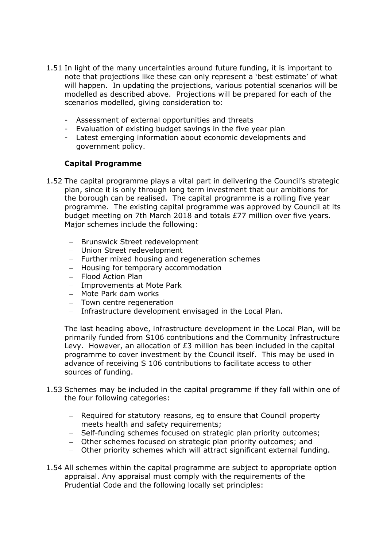- 1.51 In light of the many uncertainties around future funding, it is important to note that projections like these can only represent a 'best estimate' of what will happen. In updating the projections, various potential scenarios will be modelled as described above. Projections will be prepared for each of the scenarios modelled, giving consideration to:
	- Assessment of external opportunities and threats
	- Evaluation of existing budget savings in the five year plan
	- Latest emerging information about economic developments and government policy.

### **Capital Programme**

- 1.52 The capital programme plays a vital part in delivering the Council's strategic plan, since it is only through long term investment that our ambitions for the borough can be realised. The capital programme is a rolling five year programme. The existing capital programme was approved by Council at its budget meeting on 7th March 2018 and totals £77 million over five years. Major schemes include the following:
	- Brunswick Street redevelopment
	- Union Street redevelopment
	- Further mixed housing and regeneration schemes
	- Housing for temporary accommodation
	- Flood Action Plan
	- Improvements at Mote Park
	- Mote Park dam works
	- Town centre regeneration
	- Infrastructure development envisaged in the Local Plan.

The last heading above, infrastructure development in the Local Plan, will be primarily funded from S106 contributions and the Community Infrastructure Levy. However, an allocation of £3 million has been included in the capital programme to cover investment by the Council itself. This may be used in advance of receiving S 106 contributions to facilitate access to other sources of funding.

- 1.53 Schemes may be included in the capital programme if they fall within one of the four following categories:
	- Required for statutory reasons, eg to ensure that Council property meets health and safety requirements;
	- Self-funding schemes focused on strategic plan priority outcomes;
	- Other schemes focused on strategic plan priority outcomes; and
	- Other priority schemes which will attract significant external funding.
- 1.54 All schemes within the capital programme are subject to appropriate option appraisal. Any appraisal must comply with the requirements of the Prudential Code and the following locally set principles: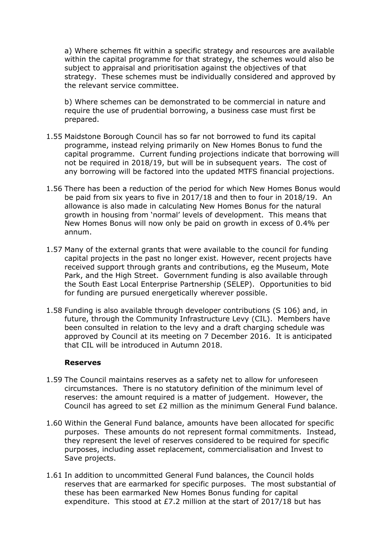a) Where schemes fit within a specific strategy and resources are available within the capital programme for that strategy, the schemes would also be subject to appraisal and prioritisation against the objectives of that strategy. These schemes must be individually considered and approved by the relevant service committee.

b) Where schemes can be demonstrated to be commercial in nature and require the use of prudential borrowing, a business case must first be prepared.

- 1.55 Maidstone Borough Council has so far not borrowed to fund its capital programme, instead relying primarily on New Homes Bonus to fund the capital programme. Current funding projections indicate that borrowing will not be required in 2018/19, but will be in subsequent years. The cost of any borrowing will be factored into the updated MTFS financial projections.
- 1.56 There has been a reduction of the period for which New Homes Bonus would be paid from six years to five in 2017/18 and then to four in 2018/19. An allowance is also made in calculating New Homes Bonus for the natural growth in housing from 'normal' levels of development. This means that New Homes Bonus will now only be paid on growth in excess of 0.4% per annum.
- 1.57 Many of the external grants that were available to the council for funding capital projects in the past no longer exist. However, recent projects have received support through grants and contributions, eg the Museum, Mote Park, and the High Street. Government funding is also available through the South East Local Enterprise Partnership (SELEP). Opportunities to bid for funding are pursued energetically wherever possible.
- 1.58 Funding is also available through developer contributions (S 106) and, in future, through the Community Infrastructure Levy (CIL). Members have been consulted in relation to the levy and a draft charging schedule was approved by Council at its meeting on 7 December 2016. It is anticipated that CIL will be introduced in Autumn 2018.

#### **Reserves**

- 1.59 The Council maintains reserves as a safety net to allow for unforeseen circumstances. There is no statutory definition of the minimum level of reserves: the amount required is a matter of judgement. However, the Council has agreed to set £2 million as the minimum General Fund balance.
- 1.60 Within the General Fund balance, amounts have been allocated for specific purposes. These amounts do not represent formal commitments. Instead, they represent the level of reserves considered to be required for specific purposes, including asset replacement, commercialisation and Invest to Save projects.
- 1.61 In addition to uncommitted General Fund balances, the Council holds reserves that are earmarked for specific purposes. The most substantial of these has been earmarked New Homes Bonus funding for capital expenditure. This stood at £7.2 million at the start of 2017/18 but has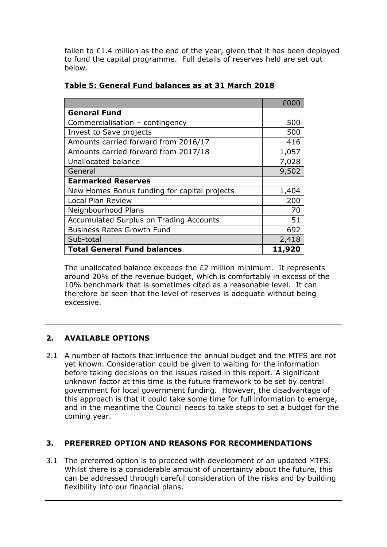fallen to £1.4 million as the end of the year, given that it has been deployed to fund the capital programme. Full details of reserves held are set out below.

|                                                | £000   |
|------------------------------------------------|--------|
| <b>General Fund</b>                            |        |
| Commercialisation - contingency                | 500    |
| Invest to Save projects                        | 500    |
| Amounts carried forward from 2016/17           | 416    |
| Amounts carried forward from 2017/18           | 1,057  |
| Unallocated balance                            | 7,028  |
| General                                        | 9,502  |
| <b>Earmarked Reserves</b>                      |        |
| New Homes Bonus funding for capital projects   | 1,404  |
| Local Plan Review                              | 200    |
| Neighbourhood Plans                            | 70     |
| <b>Accumulated Surplus on Trading Accounts</b> | 51     |
| <b>Business Rates Growth Fund</b>              | 692    |
| Sub-total                                      | 2,418  |
| <b>Total General Fund balances</b>             | 11,920 |

# **Table 5: General Fund balances as at 31 March 2018**

The unallocated balance exceeds the  $E2$  million minimum. It represents around 20% of the revenue budget, which is comfortably in excess of the 10% benchmark that is sometimes cited as a reasonable level. It can therefore be seen that the level of reserves is adequate without being excessive.

# **2. AVAILABLE OPTIONS**

2.1 A number of factors that influence the annual budget and the MTFS are not yet known. Consideration could be given to waiting for the information before taking decisions on the issues raised in this report. A significant unknown factor at this time is the future framework to be set by central government for local government funding. However, the disadvantage of this approach is that it could take some time for full information to emerge, and in the meantime the Council needs to take steps to set a budget for the coming year.

# **3. PREFERRED OPTION AND REASONS FOR RECOMMENDATIONS**

3.1 The preferred option is to proceed with development of an updated MTFS. Whilst there is a considerable amount of uncertainty about the future, this can be addressed through careful consideration of the risks and by building flexibility into our financial plans.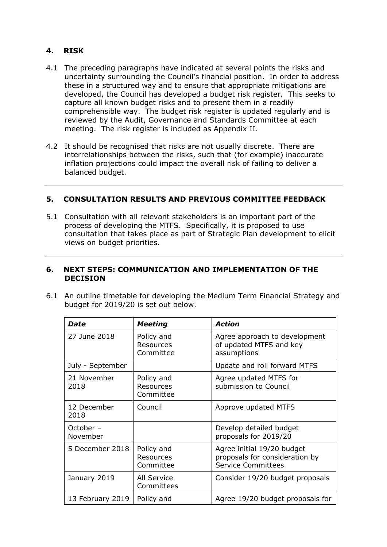# **4. RISK**

- 4.1 The preceding paragraphs have indicated at several points the risks and uncertainty surrounding the Council's financial position. In order to address these in a structured way and to ensure that appropriate mitigations are developed, the Council has developed a budget risk register. This seeks to capture all known budget risks and to present them in a readily comprehensible way. The budget risk register is updated regularly and is reviewed by the Audit, Governance and Standards Committee at each meeting. The risk register is included as Appendix II.
- 4.2 It should be recognised that risks are not usually discrete. There are interrelationships between the risks, such that (for example) inaccurate inflation projections could impact the overall risk of failing to deliver a balanced budget.

# **5. CONSULTATION RESULTS AND PREVIOUS COMMITTEE FEEDBACK**

5.1 Consultation with all relevant stakeholders is an important part of the process of developing the MTFS. Specifically, it is proposed to use consultation that takes place as part of Strategic Plan development to elicit views on budget priorities.

### **6. NEXT STEPS: COMMUNICATION AND IMPLEMENTATION OF THE DECISION**

6.1 An outline timetable for developing the Medium Term Financial Strategy and budget for 2019/20 is set out below.

| Date                  | <b>Meeting</b>                       | Action                                                                                    |
|-----------------------|--------------------------------------|-------------------------------------------------------------------------------------------|
| 27 June 2018          | Policy and<br>Resources<br>Committee | Agree approach to development<br>of updated MTFS and key<br>assumptions                   |
| July - September      |                                      | Update and roll forward MTFS                                                              |
| 21 November<br>2018   | Policy and<br>Resources<br>Committee | Agree updated MTFS for<br>submission to Council                                           |
| 12 December<br>2018   | Council                              | Approve updated MTFS                                                                      |
| October -<br>November |                                      | Develop detailed budget<br>proposals for 2019/20                                          |
| 5 December 2018       | Policy and<br>Resources<br>Committee | Agree initial 19/20 budget<br>proposals for consideration by<br><b>Service Committees</b> |
| January 2019          | All Service<br>Committees            | Consider 19/20 budget proposals                                                           |
| 13 February 2019      | Policy and                           | Agree 19/20 budget proposals for                                                          |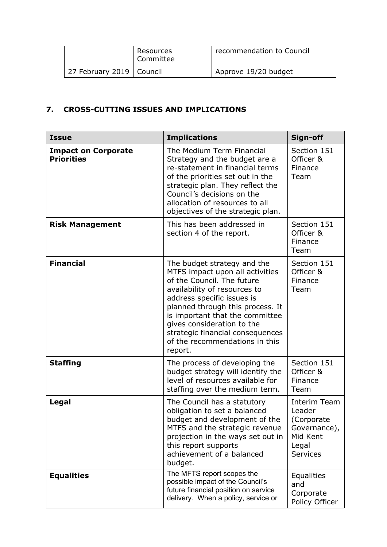|                            | Resources<br>Committee | recommendation to Council |
|----------------------------|------------------------|---------------------------|
| 27 February 2019   Council |                        | Approve 19/20 budget      |

# **7. CROSS-CUTTING ISSUES AND IMPLICATIONS**

| <b>Issue</b>                                    | <b>Implications</b>                                                                                                                                                                                                                                                                                                                              | Sign-off                                                                                     |
|-------------------------------------------------|--------------------------------------------------------------------------------------------------------------------------------------------------------------------------------------------------------------------------------------------------------------------------------------------------------------------------------------------------|----------------------------------------------------------------------------------------------|
| <b>Impact on Corporate</b><br><b>Priorities</b> | The Medium Term Financial<br>Strategy and the budget are a<br>re-statement in financial terms<br>of the priorities set out in the<br>strategic plan. They reflect the<br>Council's decisions on the<br>allocation of resources to all<br>objectives of the strategic plan.                                                                       | Section 151<br>Officer &<br>Finance<br>Team                                                  |
| <b>Risk Management</b>                          | This has been addressed in<br>section 4 of the report.                                                                                                                                                                                                                                                                                           | Section 151<br>Officer &<br>Finance<br>Team                                                  |
| <b>Financial</b>                                | The budget strategy and the<br>MTFS impact upon all activities<br>of the Council. The future<br>availability of resources to<br>address specific issues is<br>planned through this process. It<br>is important that the committee<br>gives consideration to the<br>strategic financial consequences<br>of the recommendations in this<br>report. | Section 151<br>Officer &<br>Finance<br>Team                                                  |
| <b>Staffing</b>                                 | The process of developing the<br>budget strategy will identify the<br>level of resources available for<br>staffing over the medium term.                                                                                                                                                                                                         | Section 151<br>Officer &<br>Finance<br>Team                                                  |
| Legal                                           | The Council has a statutory<br>obligation to set a balanced<br>budget and development of the<br>MTFS and the strategic revenue<br>projection in the ways set out in<br>this report supports<br>achievement of a balanced<br>budget.                                                                                                              | Interim Team<br>Leader<br>(Corporate<br>Governance),<br>Mid Kent<br>Legal<br><b>Services</b> |
| <b>Equalities</b>                               | The MFTS report scopes the<br>possible impact of the Council's<br>future financial position on service<br>delivery. When a policy, service or                                                                                                                                                                                                    | <b>Equalities</b><br>and<br>Corporate<br>Policy Officer                                      |